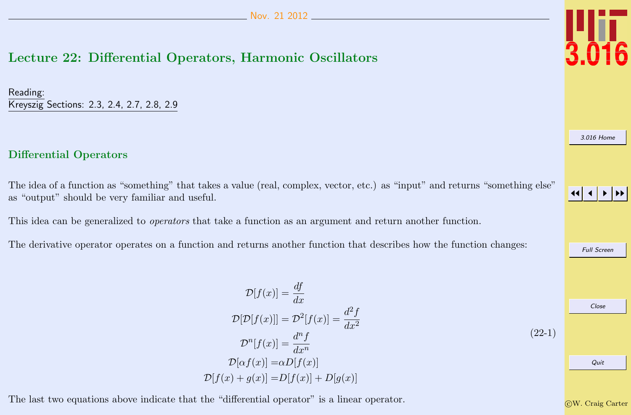## <span id="page-0-0"></span>Lecture 22: Differential Operators, Harmonic Oscillators

Reading: Kreyszig Sections: 2.3, 2.4, 2.7, 2.8, 2.9

### Differential Operators

The idea of a function as "something" that takes a value (real, complex, vector, etc.) as "input" and returns "something else" as "output" should be very familiar and useful.

This idea can be generalized to *operators* that take a function as an argument and return another function.

The derivative operator operates on a function and returns another function that describes how the function changes:

$$
\mathcal{D}[f(x)] = \frac{df}{dx}
$$
  
\n
$$
\mathcal{D}[\mathcal{D}[f(x)]] = \mathcal{D}^2[f(x)] = \frac{d^2f}{dx^2}
$$
  
\n
$$
\mathcal{D}^n[f(x)] = \frac{d^n f}{dx^n}
$$
  
\n
$$
\mathcal{D}[\alpha f(x)] = \alpha D[f(x)]
$$
  
\n
$$
\mathcal{D}[f(x) + g(x)] = D[f(x)] + D[g(x)]
$$
\n(22-1)

The last two equations above indicate that the "differential operator" is a linear operator.



[3.016 Home](http://pruffle.mit.edu/3.016-2012/)

JJ J I II

Full Screen Close Quit

c W. Craig Carter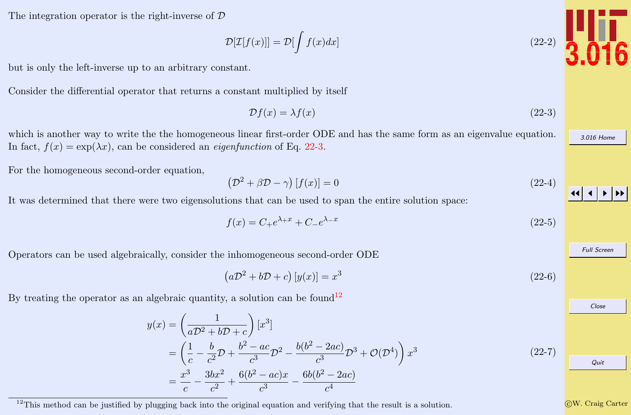<span id="page-1-0"></span>The integration operator is the right-inverse of D

 $\mathcal{D}[\mathcal{I}[f(x)]] = \mathcal{D}[\int f(x)dx]$  (22-2)

but is only the left-inverse up to an arbitrary constant.

Consider the differential operator that returns a constant multiplied by itself

$$
\mathcal{D}f(x) = \lambda f(x) \tag{22-3}
$$

which is another way to write the the homogeneous linear first-order ODE and has the same form as an eigenvalue equation. In fact,  $f(x) = \exp(\lambda x)$ , can be considered an *eigenfunction* of Eq. 22-3.

For the homogeneous second-order equation,

$$
\left(\mathcal{D}^2 + \beta \mathcal{D} - \gamma\right)[f(x)] = 0\tag{22-4}
$$

It was determined that there were two eigensolutions that can be used to span the entire solution space:

$$
f(x) = C_{+}e^{\lambda_{+}x} + C_{-}e^{\lambda_{-}x}
$$
\n(22-5)

Operators can be used algebraically, consider the inhomogeneous second-order ODE

$$
\left(a\mathcal{D}^2 + b\mathcal{D} + c\right)[y(x)] = x^3\tag{22-6}
$$

By treating the operator as an algebraic quantity, a solution can be found<sup>12</sup>

$$
y(x) = \left(\frac{1}{aD^2 + bD + c}\right) [x^3]
$$
  
=  $\left(\frac{1}{c} - \frac{b}{c^2}D + \frac{b^2 - ac}{c^3}D^2 - \frac{b(b^2 - 2ac)}{c^3}D^3 + \mathcal{O}(D^4)\right) x^3$   
=  $\frac{x^3}{c} - \frac{3bx^2}{c^2} + \frac{6(b^2 - ac)x}{c^3} - \frac{6b(b^2 - 2ac)}{c^4}$  (22-7)

<sup>12</sup>This method can be justified by plugging back into the original equation and verifying that the result is a solution.

c W. Craig Carter



[3.016 Home](http://pruffle.mit.edu/3.016-2012/)

JJ J I II

Full Screen

Close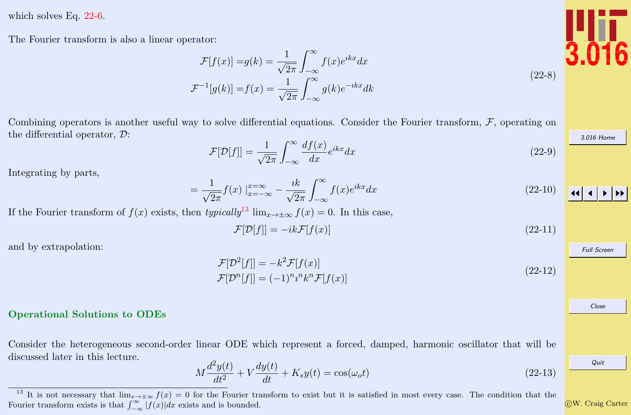<span id="page-2-0"></span>which solves Eq. [22-6.](#page-1-0)

The Fourier transform is also a linear operator:

$$
\mathcal{F}[f(x)] = g(k) = \frac{1}{\sqrt{2\pi}} \int_{-\infty}^{\infty} f(x)e^{ikx} dx
$$

$$
\mathcal{F}^{-1}[g(k)] = f(x) = \frac{1}{\sqrt{2\pi}} \int_{-\infty}^{\infty} g(k)e^{-ikx} dk
$$

Combining operators is another useful way to solve differential equations. Consider the Fourier transform,  $F$ , operating on the differential operator, D:

$$
\mathcal{F}[\mathcal{D}[f]] = \frac{1}{\sqrt{2\pi}} \int_{-\infty}^{\infty} \frac{df(x)}{dx} e^{ikx} dx \qquad (22-9)
$$

Integrating by parts,

$$
=\frac{1}{\sqrt{2\pi}}f(x)\Big|_{x=-\infty}^{x=\infty}-\frac{ik}{\sqrt{2\pi}}\int_{-\infty}^{\infty}f(x)e^{ikx}dx
$$
\n(22-10)

If the Fourier transform of  $f(x)$  exists, then typically<sup>13</sup> lim<sub>x→±∞</sub>  $f(x) = 0$ . In this case,

$$
\mathcal{F}[\mathcal{D}[f]] = -ik\mathcal{F}[f(x)]\tag{22-11}
$$

and by extrapolation:

$$
\mathcal{F}[\mathcal{D}^2[f]] = -k^2 \mathcal{F}[f(x)]
$$
  
\n
$$
\mathcal{F}[\mathcal{D}^n[f]] = (-1)^n n^n k^n \mathcal{F}[f(x)]
$$
\n(22-12)

#### Operational Solutions to ODEs

Consider the heterogeneous second-order linear ODE which represent a forced, damped, harmonic oscillator that will be discussed later in this lecture.

$$
M\frac{d^2y(t)}{dt^2} + V\frac{dy(t)}{dt} + K_s y(t) = \cos(\omega_o t)
$$
 (22-13)



 $(22-8)$ 

[3.016 Home](http://pruffle.mit.edu/3.016-2012/)

JJ J I II Full Screen Close Quit

c W. Craig Carter

<sup>&</sup>lt;sup>13</sup> It is not necessary that  $\lim_{x\to\pm\infty} f(x) = 0$  for the Fourier transform to exist but it is satisfied in most every case. The condition that the Fourier transform exists is that  $\int_{-\infty}^{\infty} |f(x)| dx$  exists and is bounded.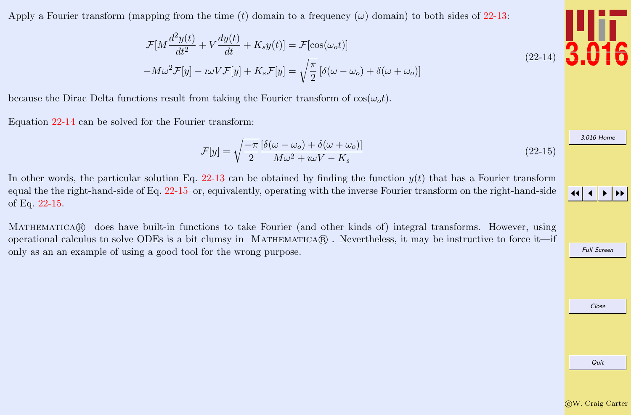$-W\omega^2\mathcal{F}[y] - \imath\omega V\mathcal{F}[y] + K_s\mathcal{F}[y] = \sqrt{\frac{\pi}{2}}$  $\frac{\pi}{2} [\delta(\omega - \omega_o) + \delta(\omega + \omega_o)]$ 

because the Dirac Delta functions result from taking the Fourier transform of  $cos(\omega_0 t)$ .

Equation 22-14 can be solved for the Fourier transform:

$$
\mathcal{F}[y] = \sqrt{\frac{-\pi}{2}} \frac{\left[\delta(\omega - \omega_o) + \delta(\omega + \omega_o)\right]}{M\omega^2 + i\omega V - K_s}
$$
\n(22-15)

In other words, the particular solution Eq. [22-13](#page-2-0) can be obtained by finding the function  $y(t)$  that has a Fourier transform equal the the right-hand-side of Eq. 22-15–or, equivalently, operating with the inverse Fourier transform on the right-hand-side of Eq. 22-15.

MATHEMATICAR does have built-in functions to take Fourier (and other kinds of) integral transforms. However, using operational calculus to solve ODEs is a bit clumsy in MATHEMATICA $\mathbb R$ . Nevertheless, it may be instructive to force it—if only as an an example of using a good tool for the wrong purpose.

<span id="page-3-0"></span>Apply a Fourier transform (mapping from the time (t) domain to a frequency ( $\omega$ ) domain) to both sides of [22-13:](#page-2-0)

$$
\begin{array}{c} \n 1111 \\
 3.016\n \end{array}
$$

[3.016 Home](http://pruffle.mit.edu/3.016-2012/)

Full Screen

Close Quit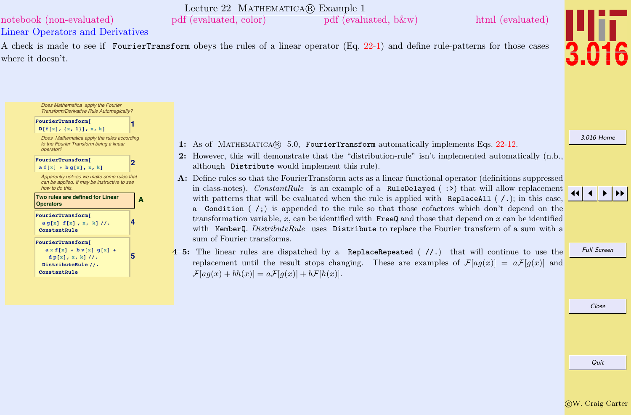Quit

<span id="page-4-0"></span>Lecture 22 MATHEMATICA(R) Example 1 [notebook \(non-evaluated\)](http://pruffle.mit.edu/3.016-2012/Notebooks/L22/Lecture-22.nb) [pdf \(evaluated, color\)](http://pruffle.mit.edu/3.016-2012/pdf/L22/Lecture-22-1-COL.pdf) [pdf \(evaluated, b&w\)](http://pruffle.mit.edu/3.016-2012/pdf/L22/Lecture-22-1-BW.pdf) [html \(evaluated\)](http://pruffle.mit.edu/3.016-2012/html/Lecture-22/HTMLLinks/index_1.html)

Linear Operators and Derivatives

Does Mathematica apply the Fourier Transform/Derivative Rule Automagically?

Does Mathematica apply the rules according

 $FourierTransform$ **D** $[$ **f** $[$ **x** $]$ ,  $\{$ **x**, **1** $]$ , **x**, **k** $]$ 

 $\frac{d}{dx} p[x, x, k]/$ . DistributeRule //. **ConstantRule**

A check is made to see if FourierTransform obeys the rules of a linear operator (Eq. [22-1\)](#page-0-0) and define rule-patterns for those cases where it doesn't.

- 1: As of MATHEMATICA(R) 5.0, FourierTransform automatically implements Eqs. [22-12.](#page-2-0)
- 2: However, this will demonstrate that the "distribution-rule" isn't implemented automatically (n.b., although Distribute would implement this rule).
- A: Define rules so that the FourierTransform acts as a linear functional operator (definitions suppressed in class-notes). ConstantRule is an example of a RuleDelayed ( $:$ ) that will allow replacement with patterns that will be evaluated when the rule is applied with ReplaceAll  $( / . )$ ; in this case, a Condition  $\binom{1}{i}$  is appended to the rule so that those cofactors which don't depend on the transformation variable,  $x$ , can be identified with  $\mathsf{FreeQ}$  and those that depend on  $x$  can be identified with MemberQ. DistributeRule uses Distribute to replace the Fourier transform of a sum with a sum of Fourier transforms.
- 4–5: The linear rules are dispatched by a ReplaceRepeated  $(\frac{7}{1})$  that will continue to use the replacement until the result stops changing. These are examples of  $\mathcal{F}[aq(x)] = a\mathcal{F}[q(x)]$  and  $\mathcal{F}[aq(x) + bh(x)] = a\mathcal{F}[q(x)] + b\mathcal{F}[h(x)].$

# [3.016 Home](http://pruffle.mit.edu/3.016-2012/)

#### Full Screen

Close

JJ J I II

#### to the Fourier Transform being a linear operator?  $FourierTransform$  $\mathbf{a} \mathbf{f}[x] + \mathbf{b}\mathbf{g}[x], x, k$ Apparently not--so we make some rules that can be applied. It may be instructive to see how to do this. **A [Two rules are defined for Linear](http://pruffle.mit.edu/3.016-2012/html/Lecture-22/HTMLLinks/index_1.html) Operators 4**  $FourierTransform$ **a g@xD f@xD , x, kD êê. ConstantRule FourierTransform@**  $ax f[x] + b v[x] g[x] + b v[x]$

**5**



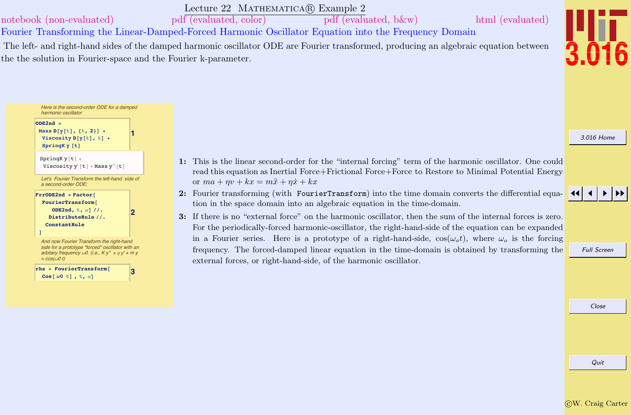Lecture 22 MATHEMATICA(R) Example 2

<span id="page-5-0"></span>[notebook \(non-evaluated\)](http://pruffle.mit.edu/3.016-2012/Notebooks/L22/Lecture-22.nb) [pdf \(evaluated, color\)](http://pruffle.mit.edu/3.016-2012/pdf/L22/Lecture-22-2-COL.pdf) [pdf \(evaluated, b&w\)](http://pruffle.mit.edu/3.016-2012/pdf/L22/Lecture-22-2-BW.pdf) [html \(evaluated\)](http://pruffle.mit.edu/3.016-2012/html/Lecture-22/HTMLLinks/index_2.html)

Fourier Transforming the Linear-Damped-Forced Harmonic Oscillator Equation into the Frequency Domain

or  $ma + \eta v + kx = m\ddot{x} + \eta \dot{x} + kx$ 

Here is the second-order ODE for a damped

 $\texttt{Viscosity}~\texttt{y}'$  [t] + Mass  $\texttt{y}''$  [t] Let's Fourier Transform the left-hand side of

And now Fourier Transform the right-hand [side for a prototype "forced" oscillator with an](http://pruffle.mit.edu/3.016-2012/html/Lecture-22/HTMLLinks/index_2.html) arbitary frequency  $\omega$ 0. (i.e., K v" + n v' + m v

**3 rhs <sup>=</sup> FourierTransform@**  $\cos \left[\omega 0 \pm \right]$ ,  $\pm$ ,  $\omega$ ]

**1**

**2**

harmonic oscillator

a second-order ODE:

 $FrrODE2nd = Factor$ **FourierTransform@ ODE2nd,**  $t$ ,  $\omega$ ]  $\frac{1}{t}$ . DistributeRule //. **ConstantRule**

 $Mass D[y[t], {t, 2}]$  +  $V$ **iscosity**  $D[Y[t], t]$  +  $SpringK$   $y$   $[t]$ SpringK  $y[t]$  +

**ODE2nd =**

**D**

 $= cos(\omega 0 t)$ 

The left- and right-hand sides of the damped harmonic oscillator ODE are Fourier transformed, producing an algebraic equation between the the solution in Fourier-space and the Fourier k-parameter.

> 1: This is the linear second-order for the "internal forcing" term of the harmonic oscillator. One could read this equation as Inertial Force+Frictional Force+Force to Restore to Minimal Potential Energy

> 2: Fourier transforming (with FourierTransform) into the time domain converts the differential equa-

3: If there is no "external force" on the harmonic oscillator, then the sum of the internal forces is zero. For the periodically-forced harmonic-oscillator, the right-hand-side of the equation can be expanded in a Fourier series. Here is a prototype of a right-hand-side,  $\cos(\omega_o t)$ , where  $\omega_o$  is the forcing frequency. The forced-damped linear equation in the time-domain is obtained by transforming the

tion in the space domain into an algebraic equation in the time-domain.

external forces, or right-hand-side, of the harmonic oscillator.



[3.016 Home](http://pruffle.mit.edu/3.016-2012/)



## JJ J I II

Full Screen

Close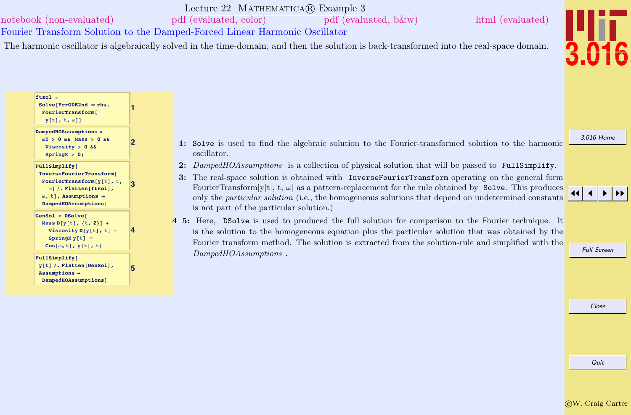### <span id="page-6-0"></span>[notebook \(non-evaluated\)](http://pruffle.mit.edu/3.016-2012/Notebooks/L22/Lecture-22.nb) [pdf \(evaluated, color\)](http://pruffle.mit.edu/3.016-2012/pdf/L22/Lecture-22-3-COL.pdf) [pdf \(evaluated, b&w\)](http://pruffle.mit.edu/3.016-2012/pdf/L22/Lecture-22-3-BW.pdf) [html \(evaluated\)](http://pruffle.mit.edu/3.016-2012/html/Lecture-22/HTMLLinks/index_3.html)

**ftsol =**

Lecture 22 MATHEMATICA(R) Example 3

Fourier Transform Solution to the Damped-Forced Linear Harmonic Oscillator

**1**

**2**

**3**

**5**

The harmonic oscillator is algebraically solved in the time-domain, and then the solution is back-transformed into the real-space domain.



[3.016 Home](http://pruffle.mit.edu/3.016-2012/)

#### **w0 > 0 && Mass > 0 && Viscosity > 0 && SpringK > 0; FullSimplify@ [InverseFourierTransform](http://pruffle.mit.edu/3.016-2012/html/Lecture-22/HTMLLinks/index_3.html)@ FourierTransform** $[y[t], t$ ,  $\omega$ <sup>[</sup> $\theta$ ] /. Flatten<sup>[ftsol]</sup>,  $\omega$ , **t**], Assumptions  $\rightarrow$

**DampedHOAssumptionsD**

**Solve@FrrODE2nd <sup>ã</sup> rhs,**  $FourierTransform$ **<sup>y</sup>@tD, t, <sup>w</sup>DD**

**DampedHOAssumptions =**

```
4
GenSol = DSolveMass D[y[t], {t, 2}] +
   Viscosity D[y[t], t] +
    SpringKy[t] =Cos@wo tD, y@tD, tD
FullSimplify@
```
#### $\mathbf{v}$ [t] /. **Flatten** [GenSol],  $\text{Assumptions} \rightarrow$ **DampedHOAssumptionsD**

- 1: Solve is used to find the algebraic solution to the Fourier-transformed solution to the harmonic oscillator.
- 2: DampedHOAssumptions is a collection of physical solution that will be passed to FullSimplify.
- 3: The real-space solution is obtained with InverseFourierTransform operating on the general form FourierTransform[y[t], t,  $\omega$ ] as a pattern-replacement for the rule obtained by Solve. This produces only the particular solution (i.e., the homogeneous solutions that depend on undetermined constants is not part of the particular solution.)
- 4–5: Here, DSolve is used to produced the full solution for comparison to the Fourier technique. It is the solution to the homogeneous equation plus the particular solution that was obtained by the Fourier transform method. The solution is extracted from the solution-rule and simplified with the DampedHOAssumptions.



Full Screen

Close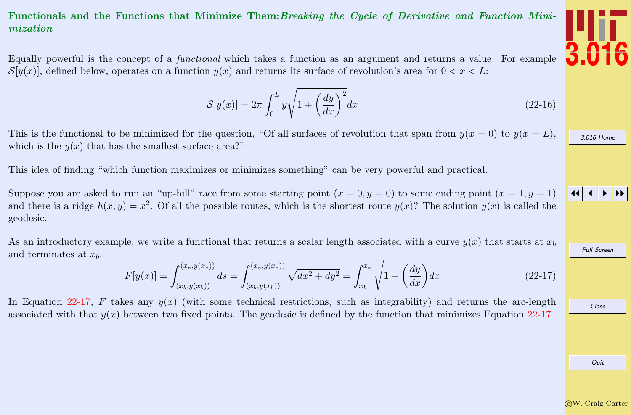### <span id="page-7-0"></span>Functionals and the Functions that Minimize Them:Breaking the Cycle of Derivative and Function Minimization

Equally powerful is the concept of a functional which takes a function as an argument and returns a value. For example  $\mathcal{S}[y(x)]$ , defined below, operates on a function  $y(x)$  and returns its surface of revolution's area for  $0 < x < L$ :

$$
S[y(x)] = 2\pi \int_0^L y \sqrt{1 + \left(\frac{dy}{dx}\right)^2} dx
$$
\n(22-16)

This is the functional to be minimized for the question, "Of all surfaces of revolution that span from  $y(x = 0)$  to  $y(x = L)$ . which is the  $y(x)$  that has the smallest surface area?"

This idea of finding "which function maximizes or minimizes something" can be very powerful and practical.

Suppose you are asked to run an "up-hill" race from some starting point  $(x = 0, y = 0)$  to some ending point  $(x = 1, y = 1)$ and there is a ridge  $h(x, y) = x^2$ . Of all the possible routes, which is the shortest route  $y(x)$ ? The solution  $y(x)$  is called the geodesic.

As an introductory example, we write a functional that returns a scalar length associated with a curve  $y(x)$  that starts at  $x<sub>b</sub>$ and terminates at  $x<sub>b</sub>$ .

$$
F[y(x)] = \int_{(x_b, y(x_b))}^{(x_e, y(x_e))} ds = \int_{(x_b, y(x_b))}^{(x_e, y(x_e))} \sqrt{dx^2 + dy^2} = \int_{x_b}^{x_e} \sqrt{1 + \left(\frac{dy}{dx}\right)} dx
$$
\n(22-17)

In Equation 22-17, F takes any  $y(x)$  (with some technical restrictions, such as integrability) and returns the arc-length associated with that  $y(x)$  between two fixed points. The geodesic is defined by the function that minimizes Equation 22-17



[3.016 Home](http://pruffle.mit.edu/3.016-2012/)

JJ J I II

Full Screen

Close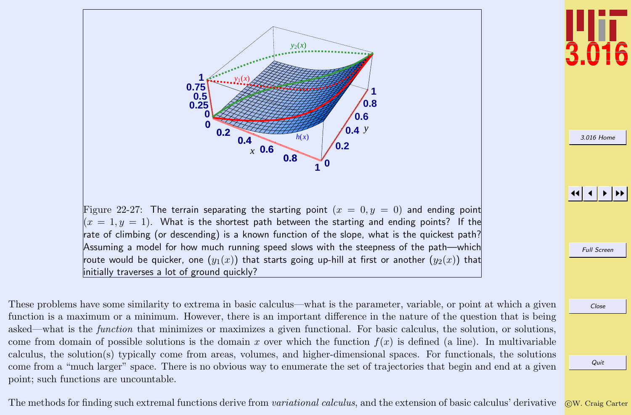<span id="page-8-0"></span>

These problems have some similarity to extrema in basic calculus—what is the parameter, variable, or point at which a given function is a maximum or a minimum. However, there is an important difference in the nature of the question that is being asked—what is the function that minimizes or maximizes a given functional. For basic calculus, the solution, or solutions, come from domain of possible solutions is the domain x over which the function  $f(x)$  is defined (a line). In multivariable calculus, the solution(s) typically come from areas, volumes, and higher-dimensional spaces. For functionals, the solutions come from a "much larger" space. There is no obvious way to enumerate the set of trajectories that begin and end at a given point; such functions are uncountable.



[3.016 Home](http://pruffle.mit.edu/3.016-2012/)

JJ J I II

Full Screen

Close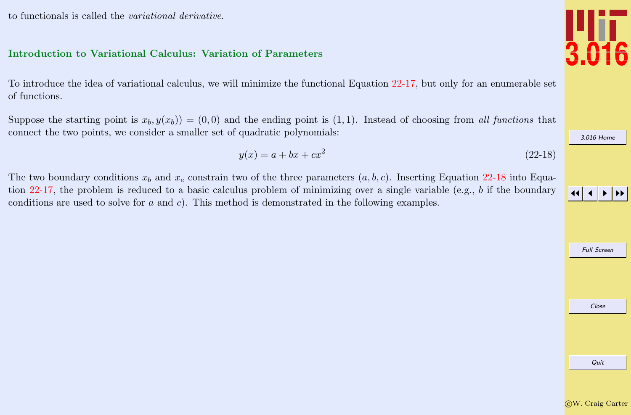<span id="page-9-0"></span>to functionals is called the variational derivative.

#### Introduction to Variational Calculus: Variation of Parameters

To introduce the idea of variational calculus, we will minimize the functional Equation [22-17,](#page-7-0) but only for an enumerable set of functions.

Suppose the starting point is  $x_b, y(x_b)$  = (0,0) and the ending point is (1,1). Instead of choosing from all functions that connect the two points, we consider a smaller set of quadratic polynomials:

$$
y(x) = a + bx + cx^2
$$
 (22-18)

The two boundary conditions  $x_b$  and  $x_e$  constrain two of the three parameters  $(a, b, c)$ . Inserting Equation 22-18 into Equation [22-17,](#page-7-0) the problem is reduced to a basic calculus problem of minimizing over a single variable (e.g., b if the boundary conditions are used to solve for a and c). This method is demonstrated in the following examples.



Close

Full Screen

JJ J I II

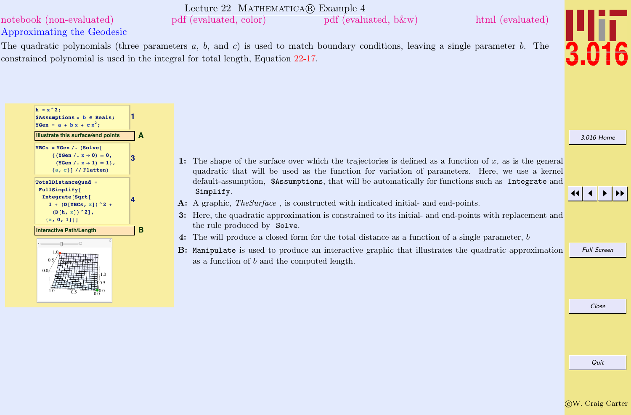## <span id="page-10-0"></span>Lecture 22 MATHEMATICA(R) Example 4 Approximating the Geodesic [notebook \(non-evaluated\)](http://pruffle.mit.edu/3.016-2012/Notebooks/L22/Lecture-22.nb) [pdf \(evaluated, color\)](http://pruffle.mit.edu/3.016-2012/pdf/L22/Lecture-22-4-COL.pdf) [pdf \(evaluated, b&w\)](http://pruffle.mit.edu/3.016-2012/pdf/L22/Lecture-22-4-BW.pdf) [html \(evaluated\)](http://pruffle.mit.edu/3.016-2012/html/Lecture-22/HTMLLinks/index_4.html) The quadratic polynomials (three parameters  $a, b,$  and  $c$ ) is used to match boundary conditions, leaving a single parameter  $b$ . The constrained polynomial is used in the integral for total length, Equation [22-17.](#page-7-0)

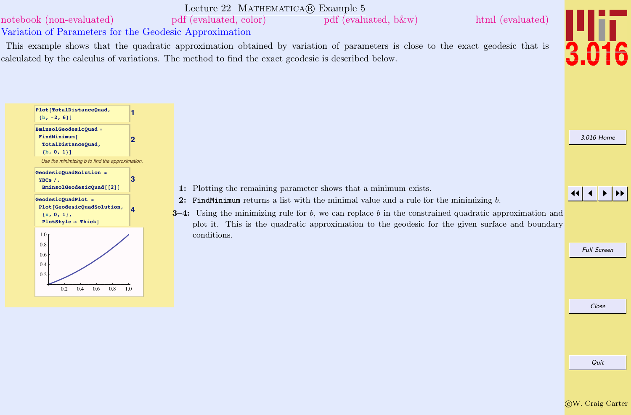

Quit

#### <span id="page-11-0"></span>Lecture 22 MATHEMATICA(R) Example 5 [notebook \(non-evaluated\)](http://pruffle.mit.edu/3.016-2012/Notebooks/L22/Lecture-22.nb) [pdf \(evaluated, color\)](http://pruffle.mit.edu/3.016-2012/pdf/L22/Lecture-22-5-COL.pdf) [pdf \(evaluated, b&w\)](http://pruffle.mit.edu/3.016-2012/pdf/L22/Lecture-22-5-BW.pdf) [html \(evaluated\)](http://pruffle.mit.edu/3.016-2012/html/Lecture-22/HTMLLinks/index_5.html)

Variation of Parameters for the Geodesic Approximation

This example shows that the quadratic approximation obtained by variation of parameters is close to the exact geodesic that is calculated by the calculus of variations. The method to find the exact geodesic is described below.



[3.016 Home](http://pruffle.mit.edu/3.016-2012/)

JJ J I II

Full Screen

Close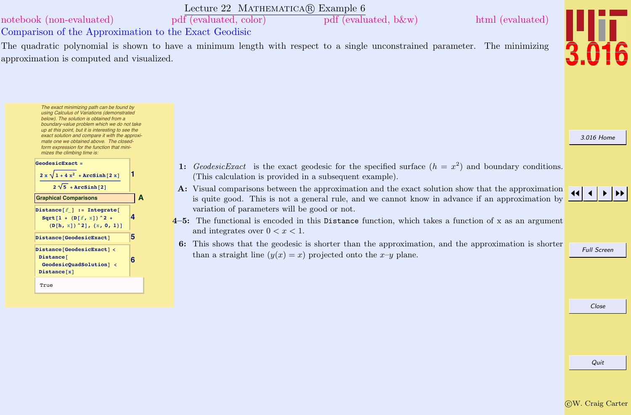<span id="page-12-0"></span>

|                                                                                                                                                                                                                                                                                                                                       | Lecture 22 MATHEMATICA(R) Example 6                                                                                                                                                                                                                              |                    |
|---------------------------------------------------------------------------------------------------------------------------------------------------------------------------------------------------------------------------------------------------------------------------------------------------------------------------------------|------------------------------------------------------------------------------------------------------------------------------------------------------------------------------------------------------------------------------------------------------------------|--------------------|
| notebook (non-evaluated)                                                                                                                                                                                                                                                                                                              | pdf (evaluated, color)<br>html (evaluated)<br>$pdf$ (evaluated, b $\&w)$ )                                                                                                                                                                                       |                    |
| Comparison of the Approximation to the Exact Geodisic                                                                                                                                                                                                                                                                                 |                                                                                                                                                                                                                                                                  |                    |
| approximation is computed and visualized.                                                                                                                                                                                                                                                                                             | The quadratic polynomial is shown to have a minimum length with respect to a single unconstrained parameter. The minimizing                                                                                                                                      |                    |
| The exact minimizing path can be found by<br>using Calculus of Variations (demonstrated<br>below). The solution is obtained from a<br>boundary-value problem which we do not take<br>up at this point, but it is interesting to see the<br>exact solution and compare it with the approxi-<br>mate one we obtained above. The closed- |                                                                                                                                                                                                                                                                  | 3.016 Home         |
| form expression for the function that mini-<br>mizes the climbing time is:<br>GeodesicExact =                                                                                                                                                                                                                                         | 1: GeodesicExact is the exact geodesic for the specified surface $(h = x^2)$ and boundary conditions.                                                                                                                                                            |                    |
| $2 x \sqrt{1+4x^2+Arcsinh[2x]}$<br>$2\sqrt{5}$ + ArcSinh [2]<br>$\mathbf{A}$<br><b>Graphical Comparisons</b>                                                                                                                                                                                                                          | (This calculation is provided in a subsequent example).<br>A: Visual comparisons between the approximation and the exact solution show that the approximation<br>is quite good. This is not a general rule, and we cannot know in advance if an approximation by |                    |
| Distance $[f]$ := Integrate [<br>Sqrt $[1 + (D[f, x])^2 +$<br>$(D[h, x])$ $2, {x, 0, 1}]$                                                                                                                                                                                                                                             | variation of parameters will be good or not.<br>$4-5$ : The functional is encoded in this Distance function, which takes a function of x as an argument<br>and integrates over $0 < x < 1$ .                                                                     |                    |
| Distance [GeodesicExact]<br>Distance[GeodesicExact] <<br>Distance <sup>[</sup><br>GeodesicQuadSolution] <<br>Distance[x]                                                                                                                                                                                                              | 6: This shows that the geodesic is shorter than the approximation, and the approximation is shorter<br>than a straight line $(y(x) = x)$ projected onto the x-y plane.                                                                                           | <b>Full Screen</b> |
| True                                                                                                                                                                                                                                                                                                                                  |                                                                                                                                                                                                                                                                  |                    |
|                                                                                                                                                                                                                                                                                                                                       |                                                                                                                                                                                                                                                                  | Close              |
|                                                                                                                                                                                                                                                                                                                                       |                                                                                                                                                                                                                                                                  |                    |
|                                                                                                                                                                                                                                                                                                                                       |                                                                                                                                                                                                                                                                  | Quit               |

CW. Craig Carter

Quit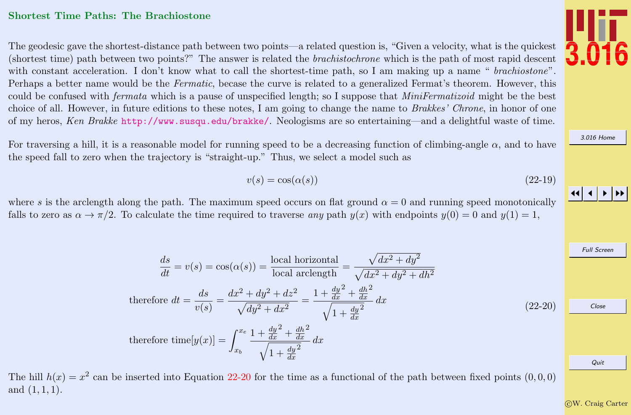#### <span id="page-13-0"></span>Shortest Time Paths: The Brachiostone

The geodesic gave the shortest-distance path between two points—a related question is, "Given a velocity, what is the quickest (shortest time) path between two points?" The answer is related the brachistochrone which is the path of most rapid descent with constant acceleration. I don't know what to call the shortest-time path, so I am making up a name " *brachiostone*". Perhaps a better name would be the Fermatic, becase the curve is related to a generalized Fermat's theorem. However, this could be confused with *fermata* which is a pause of unspecified length; so I suppose that *MiniFermatizoid* might be the best choice of all. However, in future editions to these notes, I am going to change the name to Brakkes' Chrone, in honor of one of my heros, Ken Brakke <http://www.susqu.edu/brakke/>. Neologisms are so entertaining—and a delightful waste of time.

For traversing a hill, it is a reasonable model for running speed to be a decreasing function of climbing-angle  $\alpha$ , and to have the speed fall to zero when the trajectory is "straight-up." Thus, we select a model such as

$$
v(s) = \cos(\alpha(s))\tag{22-19}
$$

where s is the arclength along the path. The maximum speed occurs on flat ground  $\alpha = 0$  and running speed monotonically falls to zero as  $\alpha \to \pi/2$ . To calculate the time required to traverse any path  $y(x)$  with endpoints  $y(0) = 0$  and  $y(1) = 1$ ,

$$
\frac{ds}{dt} = v(s) = \cos(\alpha(s)) = \frac{\text{local horizontal}}{\text{local arclength}} = \frac{\sqrt{dx^2 + dy^2}}{\sqrt{dx^2 + dy^2 + dh^2}}
$$
\n
$$
\text{therefore } dt = \frac{ds}{v(s)} = \frac{dx^2 + dy^2 + dz^2}{\sqrt{dy^2 + dx^2}} = \frac{1 + \frac{dy^2}{dx} + \frac{dh^2}{dx}}{\sqrt{1 + \frac{dy^2}{dx}}} dx
$$
\n
$$
\text{therefore } \text{time}[y(x)] = \int_{x_b}^{x_e} \frac{1 + \frac{dy^2}{dx} + \frac{dh^2}{dx}}{\sqrt{1 + \frac{dy^2}{dx}}} dx
$$
\n
$$
(22-20)
$$

The hill  $h(x) = x^2$  can be inserted into Equation 22-20 for the time as a functional of the path between fixed points  $(0,0,0)$ and  $(1, 1, 1)$ .

```
JJ J I II
```
Full Screen

[3.016 Home](http://pruffle.mit.edu/3.016-2012/)

Close

c W. Craig Carter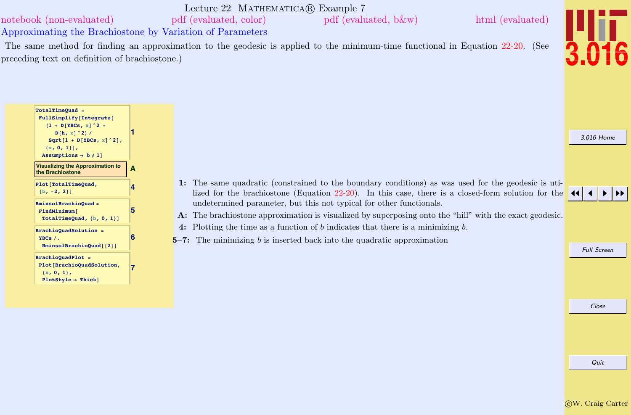[3.016 Home](http://pruffle.mit.edu/3.016-2012/) JJ J I II Full Screen Lecture 22 MATHEMATICA(R) Example 7 Approximating the Brachiostone by Variation of Parameters [notebook \(non-evaluated\)](http://pruffle.mit.edu/3.016-2012/Notebooks/L22/Lecture-22.nb) [pdf \(evaluated, color\)](http://pruffle.mit.edu/3.016-2012/pdf/L22/Lecture-22-7-COL.pdf) [pdf \(evaluated, b&w\)](http://pruffle.mit.edu/3.016-2012/pdf/L22/Lecture-22-7-BW.pdf) [html \(evaluated\)](http://pruffle.mit.edu/3.016-2012/html/Lecture-22/HTMLLinks/index_7.html) The same method for finding an approximation to the geodesic is applied to the minimum-time functional in Equation [22-20.](#page-13-0) (See preceding text on definition of brachiostone.) **1 TotalTimeQuad =**  $FullSimplify[Integrate[$  $[1 + D[YBCs, x]$  ^2 +  $D[h, x]$  ^2) /  $Sqrt[1 + D[YBCs, x]$ <sup>2</sup>],  ${x, 0, 1}$  $\text{Assumptions} \rightarrow \text{b} \neq 1$ **A [Visualizing the Approximation to](http://pruffle.mit.edu/3.016-2012/html/Lecture-22/HTMLLinks/index_7.html) the Brachiostone 4 Plot@TotalTimeQuad,**  ${b, -2, 2}$ **5 BminsolBrachioQuad =**  $FindMinimum$  $TotalTimeQuad, {b, 0, 1}$ **6 BrachioQuadSolution = YBCs ê.**  $BminsolBrachioQuad$ <sup>[2]</sup>] **7 BrachioQuadPlot = Plot@BrachioQuadSolution,** 1: The same quadratic (constrained to the boundary conditions) as was used for the geodesic is utilized for the brachiostone (Equation [22-20\)](#page-13-0). In this case, there is a closed-form solution for the undetermined parameter, but this not typical for other functionals. A: The brachiostone approximation is visualized by superposing onto the "hill" with the exact geodesic. 4: Plotting the time as a function of b indicates that there is a minimizing b.  $5-7$ : The minimizing b is inserted back into the quadratic approximation

**8x, 0, 1<,**  $PlotStyle \rightarrow Thick$ 

Quit

Close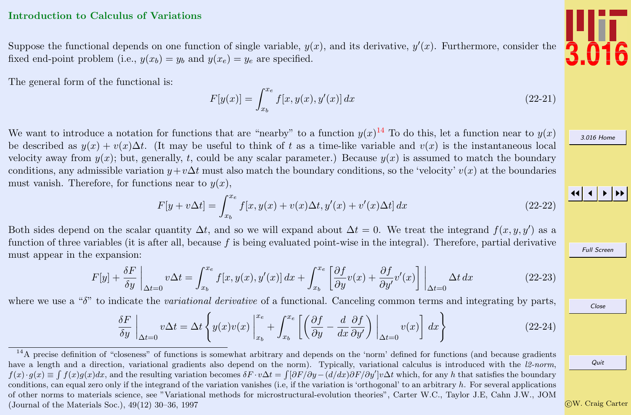#### <span id="page-15-0"></span>Introduction to Calculus of Variations

Suppose the functional depends on one function of single variable,  $y(x)$ , and its derivative,  $y'(x)$ . Furthermore, consider the fixed end-point problem (i.e.,  $y(x_b) = y_b$  and  $y(x_e) = y_e$  are specified.

The general form of the functional is:

$$
F[y(x)] = \int_{x_b}^{x_e} f[x, y(x), y'(x)] dx
$$
\n(22-21)

We want to introduce a notation for functions that are "nearby" to a function  $y(x)^{14}$  To do this, let a function near to  $y(x)$ be described as  $y(x) + v(x)\Delta t$ . (It may be useful to think of t as a time-like variable and  $v(x)$  is the instantaneous local velocity away from  $y(x)$ ; but, generally, t, could be any scalar parameter.) Because  $y(x)$  is assumed to match the boundary conditions, any admissible variation  $y+v\Delta t$  must also match the boundary conditions, so the 'velocity'  $v(x)$  at the boundaries must vanish. Therefore, for functions near to  $y(x)$ ,

$$
F[y + v\Delta t] = \int_{x_b}^{x_e} f[x, y(x) + v(x)\Delta t, y'(x) + v'(x)\Delta t] dx
$$
\n(22-22)

Both sides depend on the scalar quantity  $\Delta t$ , and so we will expand about  $\Delta t = 0$ . We treat the integrand  $f(x, y, y')$  as a function of three variables (it is after all, because  $f$  is being evaluated point-wise in the integral). Therefore, partial derivative must appear in the expansion:

$$
F[y] + \frac{\delta F}{\delta y} \bigg|_{\Delta t = 0} v \Delta t = \int_{x_b}^{x_e} f[x, y(x), y'(x)] dx + \int_{x_b}^{x_e} \left[ \frac{\partial f}{\partial y} v(x) + \frac{\partial f}{\partial y'} v'(x) \right] \bigg|_{\Delta t = 0} \Delta t dx \tag{22-23}
$$

where we use a " $\delta$ " to indicate the variational derivative of a functional. Canceling common terms and integrating by parts,

$$
\frac{\delta F}{\delta y}\Big|_{\Delta t=0} v\Delta t = \Delta t \left\{ y(x)v(x) \Big|_{x_b}^{x_e} + \int_{x_b}^{x_e} \left[ \left( \frac{\partial f}{\partial y} - \frac{d}{dx} \frac{\partial f}{\partial y'} \right) \Big|_{\Delta t=0} v(x) \right] dx \right\}
$$
(22-24)



[3.016 Home](http://pruffle.mit.edu/3.016-2012/)

JJ J I II

Full Screen

Close

Quit

c W. Craig Carter

<sup>&</sup>lt;sup>14</sup>A precise definition of "closeness" of functions is somewhat arbitrary and depends on the 'norm' defined for functions (and because gradients have a length and a direction, variational gradients also depend on the norm). Typically, variational calculus is introduced with the l2-norm,  $f(x) \cdot g(x) \equiv \int f(x)g(x)dx$ , and the resulting variation becomes  $\delta F \cdot v\Delta t = \int [\partial F/\partial y - (d/dx)\partial F/\partial y']v\Delta t$  which, for any h that satisfies the boundary conditions, can equal zero only if the integrand of the variation vanishes (i.e, if the variation is 'orthogonal' to an arbitrary h. For several applications of other norms to materials science, see "Variational methods for microstructural-evolution theories", Carter W.C., Taylor J.E, Cahn J.W., JOM (Journal of the Materials Soc.), 49(12) 30–36, 1997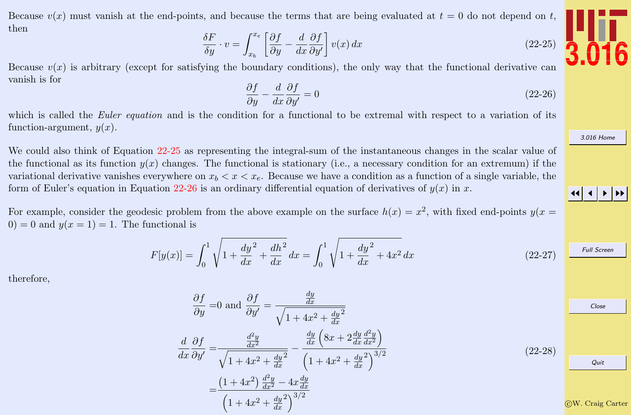$$
\frac{\delta F}{\delta y} \cdot v = \int_{x_b}^{x_e} \left[ \frac{\partial f}{\partial y} - \frac{d}{dx} \frac{\partial f}{\partial y'} \right] v(x) dx \tag{22-25}
$$

<span id="page-16-0"></span>Because  $v(x)$  is arbitrary (except for satisfying the boundary conditions), the only way that the functional derivative can vanish is for

$$
\frac{\partial f}{\partial y} - \frac{d}{dx} \frac{\partial f}{\partial y'} = 0 \tag{22-26}
$$

which is called the Euler equation and is the condition for a functional to be extremal with respect to a variation of its function-argument,  $y(x)$ .

We could also think of Equation 22-25 as representing the integral-sum of the instantaneous changes in the scalar value of the functional as its function  $y(x)$  changes. The functional is stationary (i.e., a necessary condition for an extremum) if the variational derivative vanishes everywhere on  $x_b < x < x_e$ . Because we have a condition as a function of a single variable, the form of Euler's equation in Equation 22-26 is an ordinary differential equation of derivatives of  $y(x)$  in x.

For example, consider the geodesic problem from the above example on the surface  $h(x) = x^2$ , with fixed end-points  $y(x = x)$  $0 = 0$  and  $y(x = 1) = 1$ . The functional is

$$
F[y(x)] = \int_0^1 \sqrt{1 + \frac{dy^2}{dx} + \frac{dh^2}{dx}} dx = \int_0^1 \sqrt{1 + \frac{dy^2}{dx} + 4x^2} dx
$$
 (22-27)

therefore,

$$
\frac{\partial f}{\partial y} = 0 \text{ and } \frac{\partial f}{\partial y'} = \frac{\frac{dy}{dx}}{\sqrt{1 + 4x^2 + \frac{dy}{dx}^2}}
$$
\n
$$
\frac{d}{dx} \frac{\partial f}{\partial y'} = \frac{\frac{d^2y}{dx^2}}{\sqrt{1 + 4x^2 + \frac{dy}{dx}^2}} - \frac{\frac{dy}{dx} \left(8x + 2\frac{dy}{dx}\frac{d^2y}{dx^2}\right)}{\left(1 + 4x^2 + \frac{dy}{dx}\right)^{3/2}}
$$
\n
$$
= \frac{\left(1 + 4x^2\right)\frac{d^2y}{dx^2} - 4x\frac{dy}{dx}}{\left(1 + 4x^2 + \frac{dy}{dx}\right)^{3/2}}
$$
\n(22-28)\n
$$
\frac{Quit}{\sqrt{1 + 4x^2 + \frac{dy}{dx}^2}}
$$
\n(22-29)\n
$$
\frac{Quit}{\sqrt{1 + 4x^2 + \frac{dy}{dx}^2}}
$$
\n(22-28)\n
$$
\frac{Quit}{\sqrt{1 + 4x^2 + \frac{dy}{dx}^2}}
$$
\n(22-9)



[3.016 Home](http://pruffle.mit.edu/3.016-2012/)

JJ J I II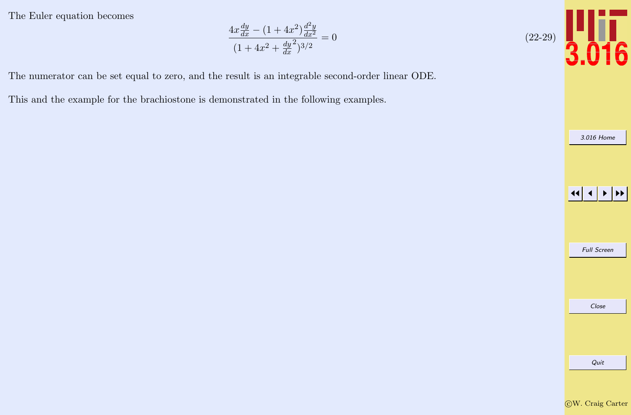The Euler equation becomes

$$
\frac{4x\frac{dy}{dx} - (1+4x^2)\frac{d^2y}{dx^2}}{(1+4x^2+\frac{dy}{dx}^2)^{3/2}} = 0
$$

The numerator can be set equal to zero, and the result is an integrable second-order linear ODE.

This and the example for the brachiostone is demonstrated in the following examples.



[3.016 Home](http://pruffle.mit.edu/3.016-2012/)

**JJ JJ JJ JJ** Full Screen Close Quit CW. Craig Carter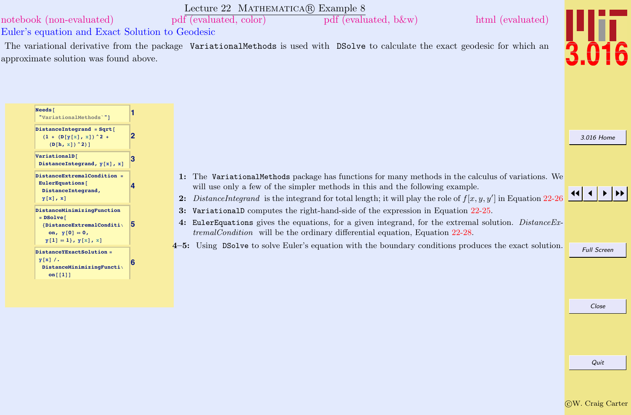<span id="page-18-0"></span>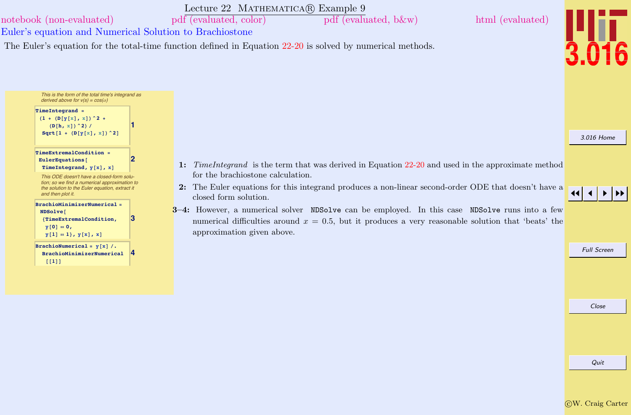<span id="page-19-0"></span>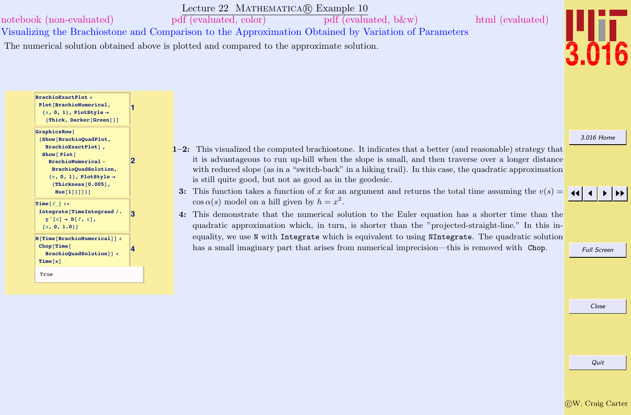<span id="page-20-0"></span>Lecture 22 MATHEMATICA(R) Example 10 Visualizing the Brachiostone and Comparison to the Approximation Obtained by Variation of Parameters [notebook \(non-evaluated\)](http://pruffle.mit.edu/3.016-2012/Notebooks/L22/Lecture-22.nb) [pdf \(evaluated, color\)](http://pruffle.mit.edu/3.016-2012/pdf/L22/Lecture-22-10-COL.pdf) [pdf \(evaluated, b&w\)](http://pruffle.mit.edu/3.016-2012/pdf/L22/Lecture-22-10-BW.pdf) [html \(evaluated\)](http://pruffle.mit.edu/3.016-2012/html/Lecture-22/HTMLLinks/index_10.html) The numerical solution obtained above is plotted and compared to the approximate solution.



[3.016 Home](http://pruffle.mit.edu/3.016-2012/)

JJ J I II

**3 Integrate**[TimeIntegrand /.  $\mathbf{y}'$   $[\mathbf{x}] \rightarrow \mathbf{D}[\mathbf{f}, \mathbf{x}]$ ,  ${x, 0, 1.0}$ **<sup>N</sup>@Time@BrachioNumericalDD <sup>&</sup>lt; Chop@Time@ BrachioQuadSolution**<sup> $\vert$ </sup> <  $Time[x]$ 

**BrachioExactPlot = Plot@BrachioNumerical,**  ${x, 0, 1}$ , PlotStyle  $\rightarrow$  ${ \{ \texttt{Thick, Darker}[\texttt{Green}]\} }$ 

**8Show@BrachioQuadPlot, BrachioExactPlotD , Show@ Plot@**

> **BrachioNumerical - [BrachioQuadSolution,](http://pruffle.mit.edu/3.016-2012/html/Lecture-22/HTMLLinks/index_10.html)**  ${x, 0, 1}$ , PlotStyle  $\rightarrow$ **8Thickness@0.005D,**  $Hue[1]\}]$

 $GraphicsRow$ <sup>[</sup>

**Time@<sup>f</sup>\_<sup>D</sup> :<sup>=</sup>**

True

**1**

**2**

**4**

- 1–2: This visualized the computed brachiostone. It indicates that a better (and reasonable) strategy that it is advantageous to run up-hill when the slope is small, and then traverse over a longer distance with reduced slope (as in a "switch-back" in a hiking trail). In this case, the quadratic approximation is still quite good, but not as good as in the geodesic.
- 3: This function takes a function of x for an argument and returns the total time assuming the  $v(s)$  =  $\cos \alpha(s)$  model on a hill given by  $h = x^2$ .
- 4: This demonstrate that the numerical solution to the Euler equation has a shorter time than the quadratic approximation which, in turn, is shorter than the "projected-straight-line." In this inequality, we use N with Integrate which is equivalent to using NIntegrate. The quadratic solution has a small imaginary part that arises from numerical imprecision—this is removed with Chop.

Full Screen

Close

c W. Craig Carter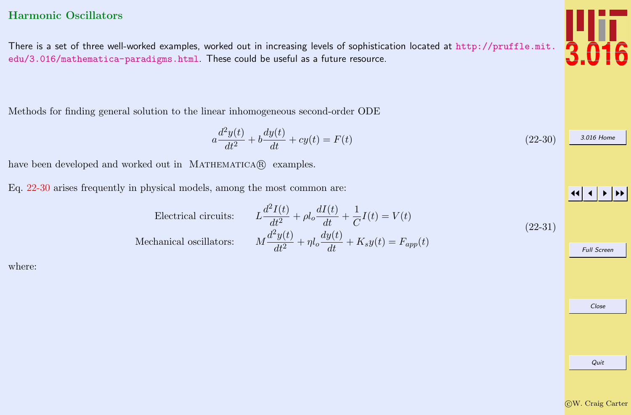### <span id="page-21-0"></span>Harmonic Oscillators

There is a set of three well-worked examples, worked out in increasing levels of sophistication located at [http://pruffle.mit.](http://pruffle.mit.edu/3.016/mathematica-paradigms.html) [edu/3.016/mathematica-paradigms.html](http://pruffle.mit.edu/3.016/mathematica-paradigms.html). These could be useful as a future resource.

Methods for finding general solution to the linear inhomogeneous second-order ODE

$$
a\frac{d^2y(t)}{dt^2} + b\frac{dy(t)}{dt} + cy(t) = F(t)
$$
\n(22-30)

have been developed and worked out in MATHEMATICA(R) examples.

Eq. 22-30 arises frequently in physical models, among the most common are:

Electrical circuits:

 $d^2I(t)$  $\frac{dI(t)}{dt^2} + \rho l_o \frac{dI(t)}{dt} + \frac{1}{C}$  $\frac{1}{C}I(t) = V(t)$ Mechanical oscillators:  $d^2y(t)$  $\frac{d^2y(t)}{dt^2} + \eta l_o \frac{dy(t)}{dt} + K_s y(t) = F_{app}(t)$ 

where:

(22-31)

Close

JJ J I II

Full Screen

c W. Craig Carter

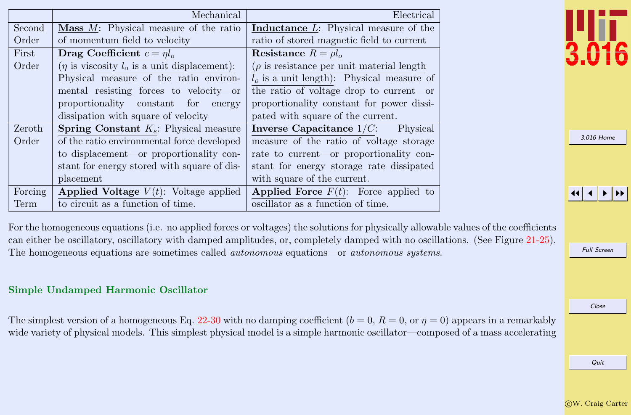<span id="page-22-0"></span>

|         | Mechanical                                          | Electrical                                      |
|---------|-----------------------------------------------------|-------------------------------------------------|
| Second  | <b>Mass</b> $M$ : Physical measure of the ratio     | <b>Inductance</b> L: Physical measure of the    |
| Order   | of momentum field to velocity                       | ratio of stored magnetic field to current       |
| First   | Drag Coefficient $c = \eta l_o$                     | Resistance $R = \rho l_o$                       |
| Order   | $(\eta$ is viscosity $l_o$ is a unit displacement): | $(\rho)$ is resistance per unit material length |
|         | Physical measure of the ratio environ-              | $l_o$ is a unit length): Physical measure of    |
|         | mental resisting forces to velocity-or              | the ratio of voltage drop to current—or         |
|         | proportionality constant for<br>energy              | proportionality constant for power dissi-       |
|         | dissipation with square of velocity                 | pated with square of the current.               |
| Zeroth  | <b>Spring Constant</b> $K_s$ : Physical measure     | Inverse Capacitance $1/C$ :<br>Physical         |
| Order   | of the ratio environmental force developed          | measure of the ratio of voltage storage         |
|         | to displacement—or proportionality con-             | rate to current—or proportionality con-         |
|         | stant for energy stored with square of dis-         | stant for energy storage rate dissipated        |
|         | placement                                           | with square of the current.                     |
| Forcing | <b>Applied Voltage</b> $V(t)$ : Voltage applied     | <b>Applied Force</b> $F(t)$ : Force applied to  |
| Term    | to circuit as a function of time.                   | oscillator as a function of time.               |

[3.016 Home](http://pruffle.mit.edu/3.016-2012/)

JJ J I II

For the homogeneous equations (i.e. no applied forces or voltages) the solutions for physically allowable values of the coefficients can either be oscillatory, oscillatory with damped amplitudes, or, completely damped with no oscillations. (See Figure [21-25\)](#page-0-0). The homogeneous equations are sometimes called autonomous equations—or autonomous systems.

#### Simple Undamped Harmonic Oscillator

The simplest version of a homogeneous Eq. [22-30](#page-21-0) with no damping coefficient  $(b = 0, R = 0, \text{or } \eta = 0)$  appears in a remarkably wide variety of physical models. This simplest physical model is a simple harmonic oscillator—composed of a mass accelerating Full Screen

Close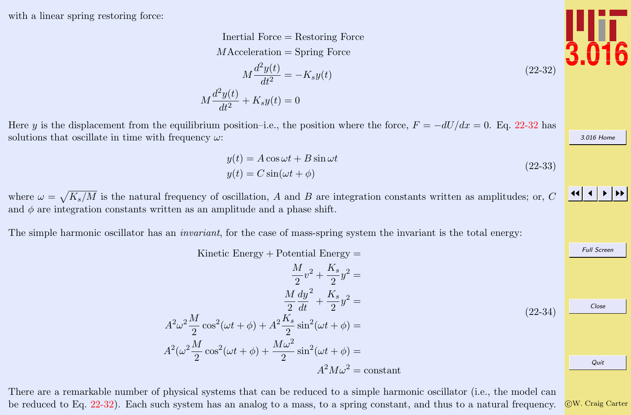<span id="page-23-0"></span>with a linear spring restoring force:

Inertial Force = Restoring Force  $M$ Acceleration = Spring Force  $M\frac{d^2y(t)}{dt^2}$  $\frac{g(v)}{dt^2} = -K_s y(t)$  $M \frac{d^2y(t)}{dt^2}$  $\frac{g(y)}{dt^2} + K_s y(t) = 0$ 

Here y is the displacement from the equilibrium position–i.e., the position where the force,  $F = -dU/dx = 0$ . Eq. 22-32 has solutions that oscillate in time with frequency  $\omega$ :

$$
y(t) = A\cos\omega t + B\sin\omega t
$$
  
\n
$$
y(t) = C\sin(\omega t + \phi)
$$
\n(22-33)

where  $\omega = \sqrt{K_s/M}$  is the natural frequency of oscillation, A and B are integration constants written as amplitudes; or, C and  $\phi$  are integration constants written as an amplitude and a phase shift.

The simple harmonic oscillator has an *invariant*, for the case of mass-spring system the invariant is the total energy:

Kinetic Energy  $+$  Potential Energy  $=$ 

$$
\frac{M}{2}v^2 + \frac{K_s}{2}y^2 =
$$
\n
$$
\frac{M}{2}\frac{dy^2}{dt} + \frac{K_s}{2}y^2 =
$$
\n
$$
A^2\omega^2\frac{M}{2}\cos^2(\omega t + \phi) + A^2\frac{K_s}{2}\sin^2(\omega t + \phi) =
$$
\n
$$
A^2(\omega^2\frac{M}{2}\cos^2(\omega t + \phi) + \frac{M\omega^2}{2}\sin^2(\omega t + \phi) =
$$
\n
$$
A^2M\omega^2 = \text{constant}
$$
\n(22-34)

There are a remarkable number of physical systems that can be reduced to a simple harmonic oscillator (i.e., the model can be reduced to Eq. 22-32). Each such system has an analog to a mass, to a spring constant, and thus to a natural frequency.





(22-32)

[3.016 Home](http://pruffle.mit.edu/3.016-2012/)

JJ J I II

Full Screen

Close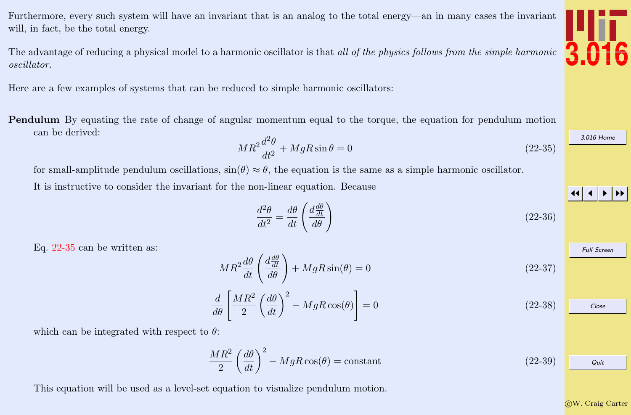<span id="page-24-0"></span>Furthermore, every such system will have an invariant that is an analog to the total energy—an in many cases the invariant will, in fact, be the total energy.

The advantage of reducing a physical model to a harmonic oscillator is that all of the physics follows from the simple harmonic oscillator.

Here are a few examples of systems that can be reduced to simple harmonic oscillators:

Pendulum By equating the rate of change of angular momentum equal to the torque, the equation for pendulum motion can be derived:

$$
MR^2\frac{d^2\theta}{dt^2} + MgR\sin\theta = 0\tag{22-35}
$$

for small-amplitude pendulum oscillations,  $\sin(\theta) \approx \theta$ , the equation is the same as a simple harmonic oscillator.

It is instructive to consider the invariant for the non-linear equation. Because

$$
\frac{d^2\theta}{dt^2} = \frac{d\theta}{dt} \left(\frac{d\frac{d\theta}{dt}}{d\theta}\right) \tag{22-36}
$$

Eq. 22-35 can be written as:

 $MR^2\frac{d\theta}{dt}\left(\frac{d\frac{d\theta}{dt}}{d\theta}\right)$ dt  $\frac{d\frac{d\theta}{dt}}{d\theta}\bigg) + MgR\sin(\theta) = 0$ (22-37)

$$
\frac{d}{d\theta} \left[ \frac{MR^2}{2} \left( \frac{d\theta}{dt} \right)^2 - MgR \cos(\theta) \right] = 0 \tag{22-38}
$$

which can be integrated with respect to  $\theta$ :

$$
\frac{MR^2}{2} \left(\frac{d\theta}{dt}\right)^2 - MgR\cos(\theta) = \text{constant} \tag{22-39}
$$

This equation will be used as a level-set equation to visualize pendulum motion.

c W. Craig Carter

Quit



[3.016 Home](http://pruffle.mit.edu/3.016-2012/)

JJ J I II

Full Screen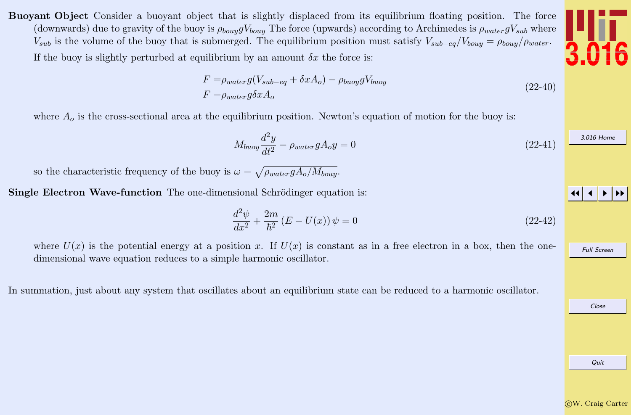<span id="page-25-0"></span>Buoyant Object Consider a buoyant object that is slightly displaced from its equilibrium floating position. The force (downwards) due to gravity of the buoy is  $\rho_{bouy}gV_{bouy}$  The force (upwards) according to Archimedes is  $\rho_{water}gV_{sub}$  where  $V_{sub}$  is the volume of the buoy that is submerged. The equilibrium position must satisfy  $V_{sub-eq}/V_{bouy} = \rho_{bouy}/\rho_{water}$ .

If the buoy is slightly perturbed at equilibrium by an amount  $\delta x$  the force is:

$$
F = \rho_{water} g (V_{sub-eq} + \delta x A_o) - \rho_{buoy} g V_{buoy}
$$
  
\n
$$
F = \rho_{water} g \delta x A_o
$$
\n(22-40)

where  $A<sub>o</sub>$  is the cross-sectional area at the equilibrium position. Newton's equation of motion for the buoy is:

$$
M_{buoy} \frac{d^2y}{dt^2} - \rho_{water} g A_o y = 0 \tag{22-41}
$$

so the characteristic frequency of the buoy is  $\omega = \sqrt{\rho_{water} g A_o / M_{bouy}}$ .

Single Electron Wave-function The one-dimensional Schrödinger equation is:

$$
\frac{d^2\psi}{dx^2} + \frac{2m}{\hbar^2} \left( E - U(x) \right) \psi = 0 \tag{22-42}
$$

where  $U(x)$  is the potential energy at a position x. If  $U(x)$  is constant as in a free electron in a box, then the onedimensional wave equation reduces to a simple harmonic oscillator.

In summation, just about any system that oscillates about an equilibrium state can be reduced to a harmonic oscillator.

Quit



JJ J I II

Full Screen

[3.016 Home](http://pruffle.mit.edu/3.016-2012/)

Close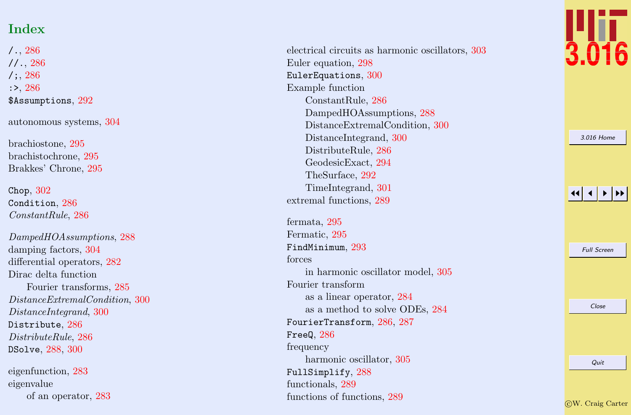## Index

 $/$   $.$  ,  $286$  $11., 286$  $11., 286$  $/$  ; ,  $286$ :> , [286](#page-4-0) \$Assumptions, [292](#page-10-0) autonomous systems, [304](#page-22-0) brachiostone, [295](#page-13-0) brachistochrone, [295](#page-13-0) Brakkes' Chrone, [295](#page-13-0) Chop , [302](#page-20-0) Condition, [286](#page-4-0) ConstantRule , [286](#page-4-0) DampedHOAssumptions , [288](#page-6-0) damping factors, [304](#page-22-0) differential operators, [282](#page-0-0) Dirac delta function Fourier transforms, [285](#page-3-0) DistanceExtremalCondition , [300](#page-18-0) DistanceIntegrand , [300](#page-18-0)  ${\tt Districtbute},\,286$  ${\tt Districtbute},\,286$ DistributeRule , [286](#page-4-0) DSolve , [288](#page-6-0) , [300](#page-18-0)

eigenfunction, [283](#page-1-0) eigenvalue of an operator, [283](#page-1-0) electrical circuits as harmonic oscillators, [303](#page-21-0) Euler equation, [298](#page-16-0) EulerEquations,  $300$ Example function ConstantRule, [286](#page-4-0) DampedHOAssumptions, [288](#page-6-0) DistanceExtremalCondition, [300](#page-18-0) DistanceIntegrand, [300](#page-18-0) DistributeRule, [286](#page-4-0) GeodesicExact, [294](#page-12-0) TheSurface, [292](#page-10-0) TimeIntegrand, [301](#page-19-0) extremal functions, [289](#page-7-0)

fermata, [295](#page-13-0) Fermatic, [295](#page-13-0) FindMinimum,  $293$ forces in harmonic oscillator model, [305](#page-23-0) Fourier transform as a linear operator, [284](#page-2-0) as a method to solve ODEs, [284](#page-2-0)  $\texttt{FourierTransform},\, 286,\, 287$  $\texttt{FourierTransform},\, 286,\, 287$  $\texttt{FourierTransform},\, 286,\, 287$  $\texttt{FourierTransform},\, 286,\, 287$  $^{\circ}$ FreeQ,  $286$ frequency harmonic oscillator, [305](#page-23-0) FullSimplify , [288](#page-6-0) functionals, [289](#page-7-0) functions of functions, [289](#page-7-0)



[3.016 Home](http://pruffle.mit.edu/3.016-2012/)

| <b>Full Screen</b> |
|--------------------|
|                    |
|                    |
| Close              |
|                    |
|                    |
| Quit               |
|                    |

c W. Craig Carter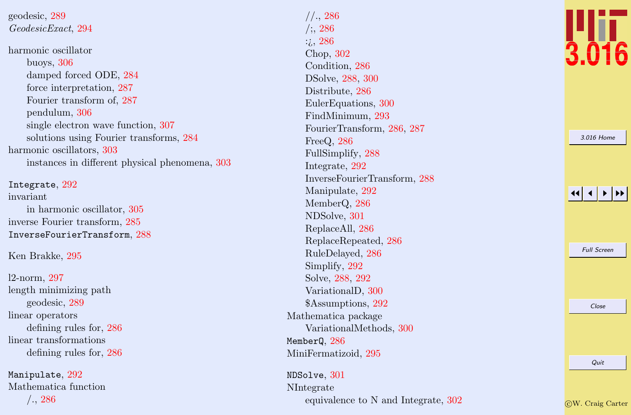geodesic, [289](#page-7-0) GeodesicExact , [294](#page-12-0) harmonic oscillator buoys, [306](#page-24-0) damped forced ODE, [284](#page-2-0) force interpretation, [287](#page-5-0) Fourier transform of, [287](#page-5-0) pendulum, [306](#page-24-0) single electron wave function, [307](#page-25-0) solutions using Fourier transforms, [284](#page-2-0) harmonic oscillators, [303](#page-21-0) instances in different physical phenomena, [303](#page-21-0)

Integrate , [292](#page-10-0) invariant in harmonic oscillator, [305](#page-23-0) inverse Fourier transform, [285](#page-3-0) InverseFourierTransform , [288](#page-6-0)

Ken Brakke, [295](#page-13-0)

l2-norm, [297](#page-15-0) length minimizing path geodesic, [289](#page-7-0) linear operators defining rules for, [286](#page-4-0) linear transformations defining rules for, [286](#page-4-0)

 $\texttt{Manipulate},\,292$  $\texttt{Manipulate},\,292$ Mathematica function /., [286](#page-4-0)

//., [286](#page-4-0)  $/$ ;, [286](#page-4-0) :¿, [286](#page-4-0) Chop, [302](#page-20-0) Condition, [286](#page-4-0) DSolve, [288](#page-6-0) , [300](#page-18-0) Distribute, [286](#page-4-0) EulerEquations, [300](#page-18-0) FindMinimum, [293](#page-11-0) FourierTransform, [286](#page-4-0) , [287](#page-5-0) FreeQ, [286](#page-4-0) FullSimplify, [288](#page-6-0) Integrate, [292](#page-10-0) InverseFourierTransform, [288](#page-6-0) Manipulate, [292](#page-10-0) MemberQ, [286](#page-4-0) NDSolve, [301](#page-19-0) ReplaceAll, [286](#page-4-0) ReplaceRepeated, [286](#page-4-0) RuleDelayed, [286](#page-4-0) Simplify, [292](#page-10-0) Solve, [288](#page-6-0) , [292](#page-10-0) VariationalD, [300](#page-18-0) \$Assumptions, [292](#page-10-0) Mathematica package VariationalMethods, [300](#page-18-0) Member $\mathtt{Q},\,286$  $\mathtt{Q},\,286$ MiniFermatizoid, [295](#page-13-0)

NDSolve , [301](#page-19-0) NIntegrate equivalence to N and Integrate, [302](#page-20-0)



| 3.016 Home         |
|--------------------|
|                    |
|                    |
|                    |
|                    |
|                    |
|                    |
|                    |
| <b>Full Screen</b> |
|                    |
|                    |
|                    |
| Close              |
|                    |
|                    |
|                    |
| Quit               |
|                    |
|                    |

c W. Craig Carter